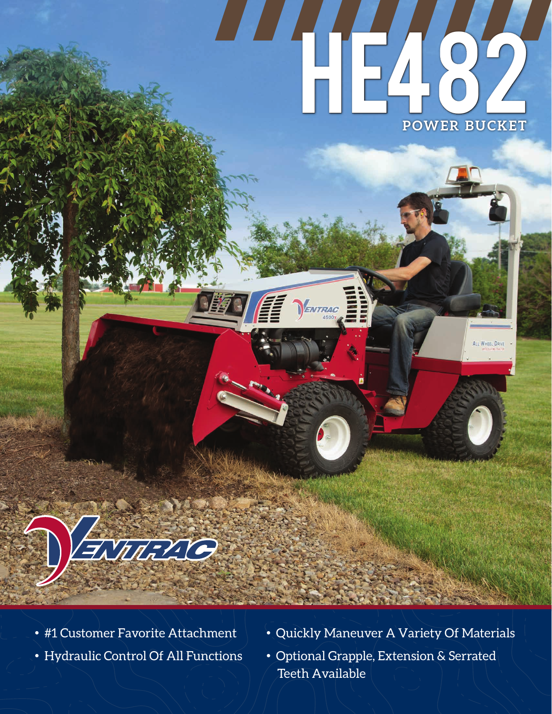# HE482 **POWER BUCKET**

ALL WHEEL DON

ENTRAC



- 
- 
- #1 Customer Favorite Attachment Quickly Maneuver A Variety Of Materials
- Hydraulic Control Of All Functions Optional Grapple, Extension & Serrated Teeth Available